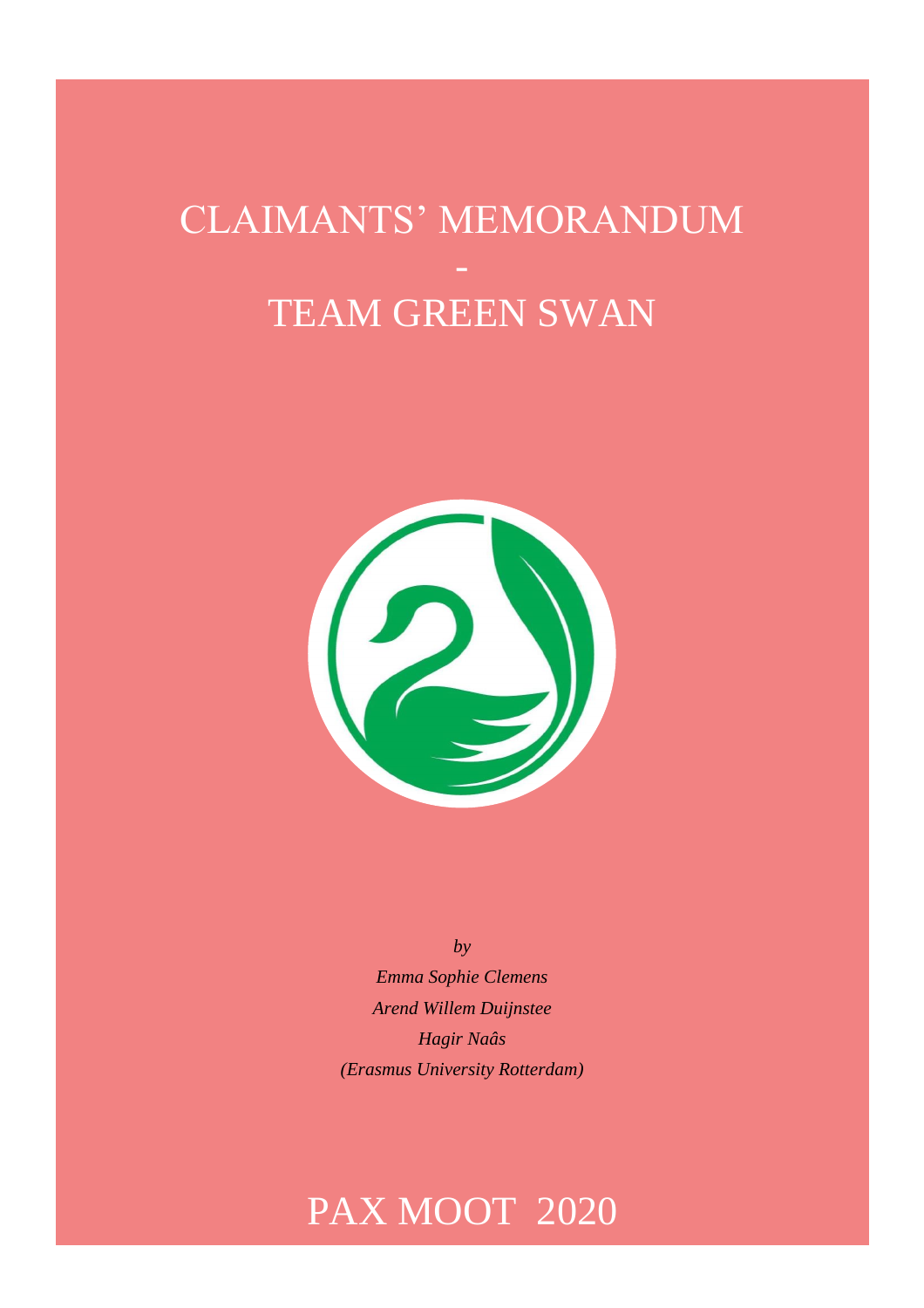# CLAIMANTS' MEMORANDUM TEAM GREEN SWAN



*by Emma Sophie Clemens Arend Willem Duijnstee Hagir Naâs (Erasmus University Rotterdam)*

# PAX MOOT 2020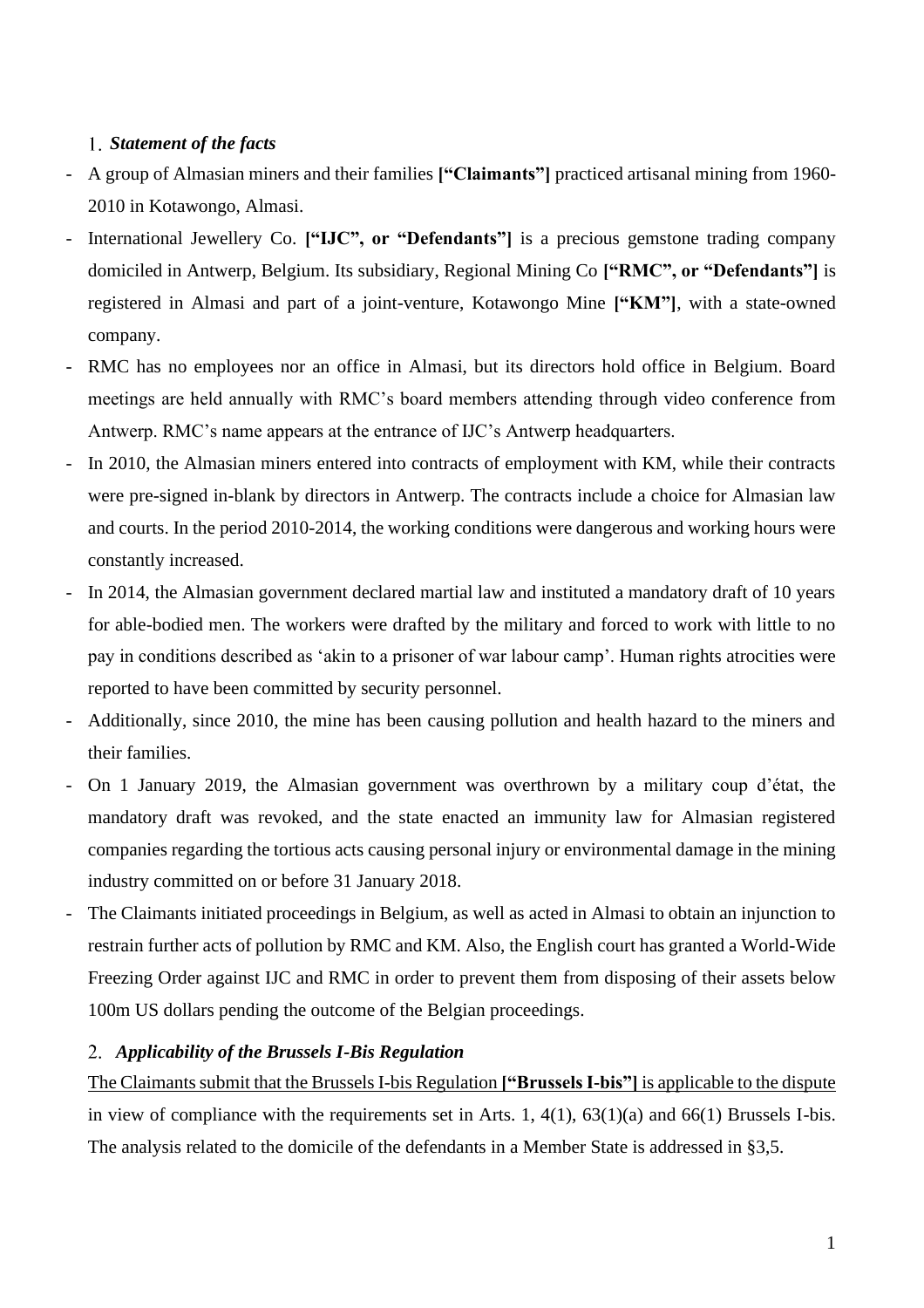# *Statement of the facts*

- A group of Almasian miners and their families **["Claimants"]** practiced artisanal mining from 1960- 2010 in Kotawongo, Almasi.
- International Jewellery Co. **["IJC", or "Defendants"]** is a precious gemstone trading company domiciled in Antwerp, Belgium. Its subsidiary, Regional Mining Co **["RMC", or "Defendants"]** is registered in Almasi and part of a joint-venture, Kotawongo Mine **["KM"]**, with a state-owned company.
- RMC has no employees nor an office in Almasi, but its directors hold office in Belgium. Board meetings are held annually with RMC's board members attending through video conference from Antwerp. RMC's name appears at the entrance of IJC's Antwerp headquarters.
- In 2010, the Almasian miners entered into contracts of employment with KM, while their contracts were pre-signed in-blank by directors in Antwerp. The contracts include a choice for Almasian law and courts. In the period 2010-2014, the working conditions were dangerous and working hours were constantly increased.
- In 2014, the Almasian government declared martial law and instituted a mandatory draft of 10 years for able-bodied men. The workers were drafted by the military and forced to work with little to no pay in conditions described as 'akin to a prisoner of war labour camp'. Human rights atrocities were reported to have been committed by security personnel.
- Additionally, since 2010, the mine has been causing pollution and health hazard to the miners and their families.
- On 1 January 2019, the Almasian government was overthrown by a military coup d'état, the mandatory draft was revoked, and the state enacted an immunity law for Almasian registered companies regarding the tortious acts causing personal injury or environmental damage in the mining industry committed on or before 31 January 2018.
- The Claimants initiated proceedings in Belgium, as well as acted in Almasi to obtain an injunction to restrain further acts of pollution by RMC and KM. Also, the English court has granted a World-Wide Freezing Order against IJC and RMC in order to prevent them from disposing of their assets below 100m US dollars pending the outcome of the Belgian proceedings.

# *Applicability of the Brussels I-Bis Regulation*

The Claimants submit that the Brussels I-bis Regulation **["Brussels I-bis"]** is applicable to the dispute in view of compliance with the requirements set in Arts. 1, 4(1), 63(1)(a) and 66(1) Brussels I-bis. The analysis related to the domicile of the defendants in a Member State is addressed in §3,5.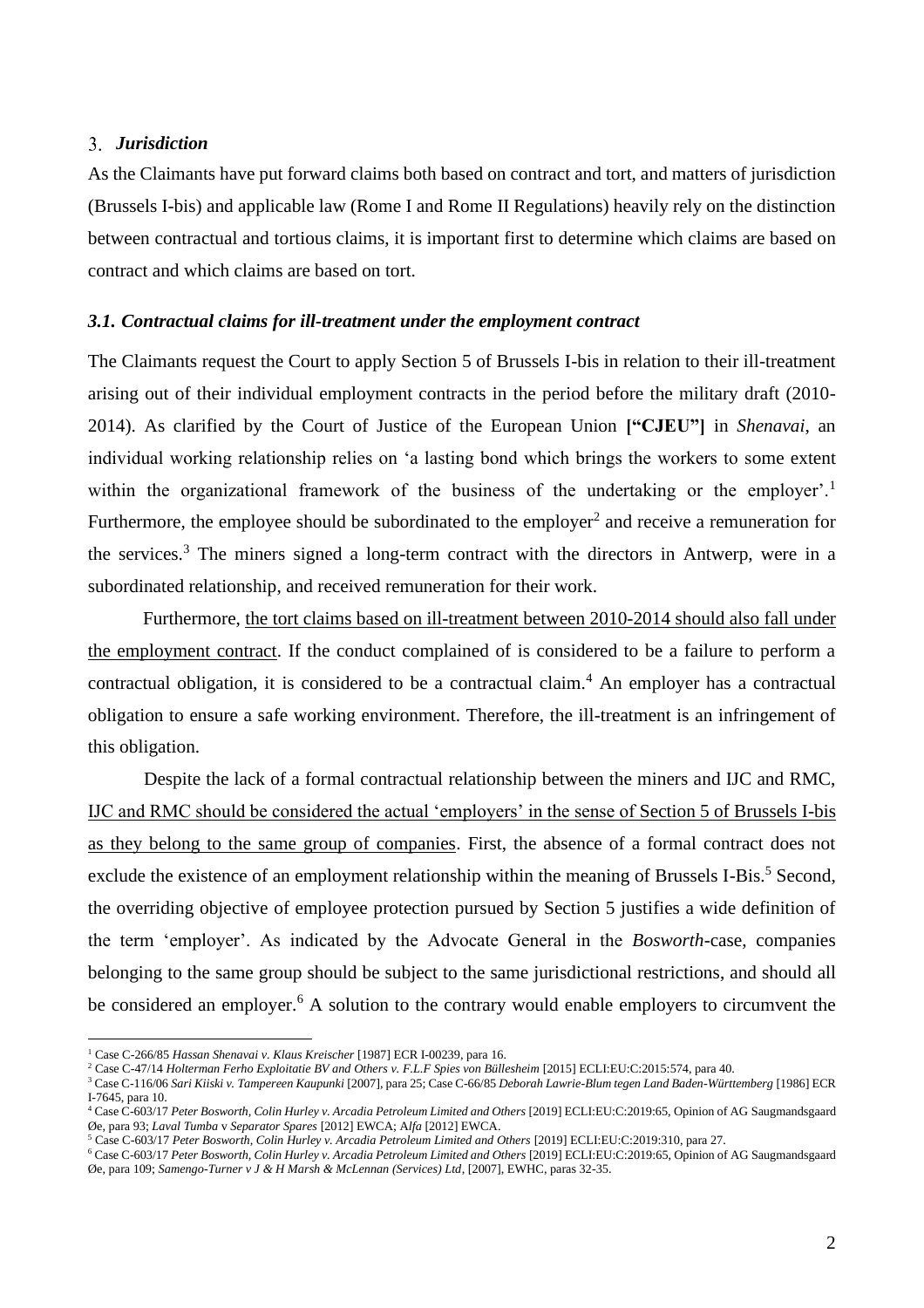#### *Jurisdiction*

As the Claimants have put forward claims both based on contract and tort, and matters of jurisdiction (Brussels I-bis) and applicable law (Rome I and Rome II Regulations) heavily rely on the distinction between contractual and tortious claims, it is important first to determine which claims are based on contract and which claims are based on tort.

#### *3.1. Contractual claims for ill-treatment under the employment contract*

The Claimants request the Court to apply Section 5 of Brussels I-bis in relation to their ill-treatment arising out of their individual employment contracts in the period before the military draft (2010- 2014). As clarified by the Court of Justice of the European Union **["CJEU"]** in *Shenavai*, an individual working relationship relies on 'a lasting bond which brings the workers to some extent within the organizational framework of the business of the undertaking or the employer'.<sup>1</sup> Furthermore, the employee should be subordinated to the employer<sup>2</sup> and receive a remuneration for the services.<sup>3</sup> The miners signed a long-term contract with the directors in Antwerp, were in a subordinated relationship, and received remuneration for their work.

Furthermore, the tort claims based on ill-treatment between 2010-2014 should also fall under the employment contract. If the conduct complained of is considered to be a failure to perform a contractual obligation, it is considered to be a contractual claim.<sup>4</sup> An employer has a contractual obligation to ensure a safe working environment. Therefore, the ill-treatment is an infringement of this obligation.

Despite the lack of a formal contractual relationship between the miners and IJC and RMC, IJC and RMC should be considered the actual 'employers' in the sense of Section 5 of Brussels I-bis as they belong to the same group of companies. First, the absence of a formal contract does not exclude the existence of an employment relationship within the meaning of Brussels I-Bis.<sup>5</sup> Second, the overriding objective of employee protection pursued by Section 5 justifies a wide definition of the term 'employer'. As indicated by the Advocate General in the *Bosworth*-case, companies belonging to the same group should be subject to the same jurisdictional restrictions, and should all be considered an employer.<sup>6</sup> A solution to the contrary would enable employers to circumvent the

<sup>1</sup> Case C-266/85 *Hassan Shenavai v. Klaus Kreischer* [1987] ECR I-00239, para 16.

<sup>2</sup> Case C-47/14 *Holterman Ferho Exploitatie BV and Others v. F.L.F Spies von Büllesheim* [2015] ECLI:EU:C:2015:574, para 40.

<sup>3</sup> Case C-116/06 *Sari Kiiski v. Tampereen Kaupunki* [2007], para 25; Case C-66/85 *Deborah Lawrie-Blum tegen Land Baden-Württemberg* [1986] ECR I-7645, para 10.

<sup>&</sup>lt;sup>4</sup> Case C-603/17 Peter Bosworth, Colin Hurley v. Arcadia Petroleum Limited and Others [2019] ECLI:EU:C:2019:65, Opinion of AG Saugmandsgaard Øe, para 93; *Laval Tumba* v *Separator Spares* [2012] EWCA; A*lfa* [2012] EWCA.

<sup>5</sup> Case C-603/17 *Peter Bosworth, Colin Hurley v. Arcadia Petroleum Limited and Others* [2019] ECLI:EU:C:2019:310, para 27.

<sup>&</sup>lt;sup>6</sup> Case C-603/17 Peter Bosworth, Colin Hurley v. Arcadia Petroleum Limited and Others [2019] ECLI:EU:C:2019:65, Opinion of AG Saugmandsgaard Øe, para 109; *Samengo-Turner v J & H Marsh & McLennan (Services) Ltd*, [2007], EWHC, paras 32-35.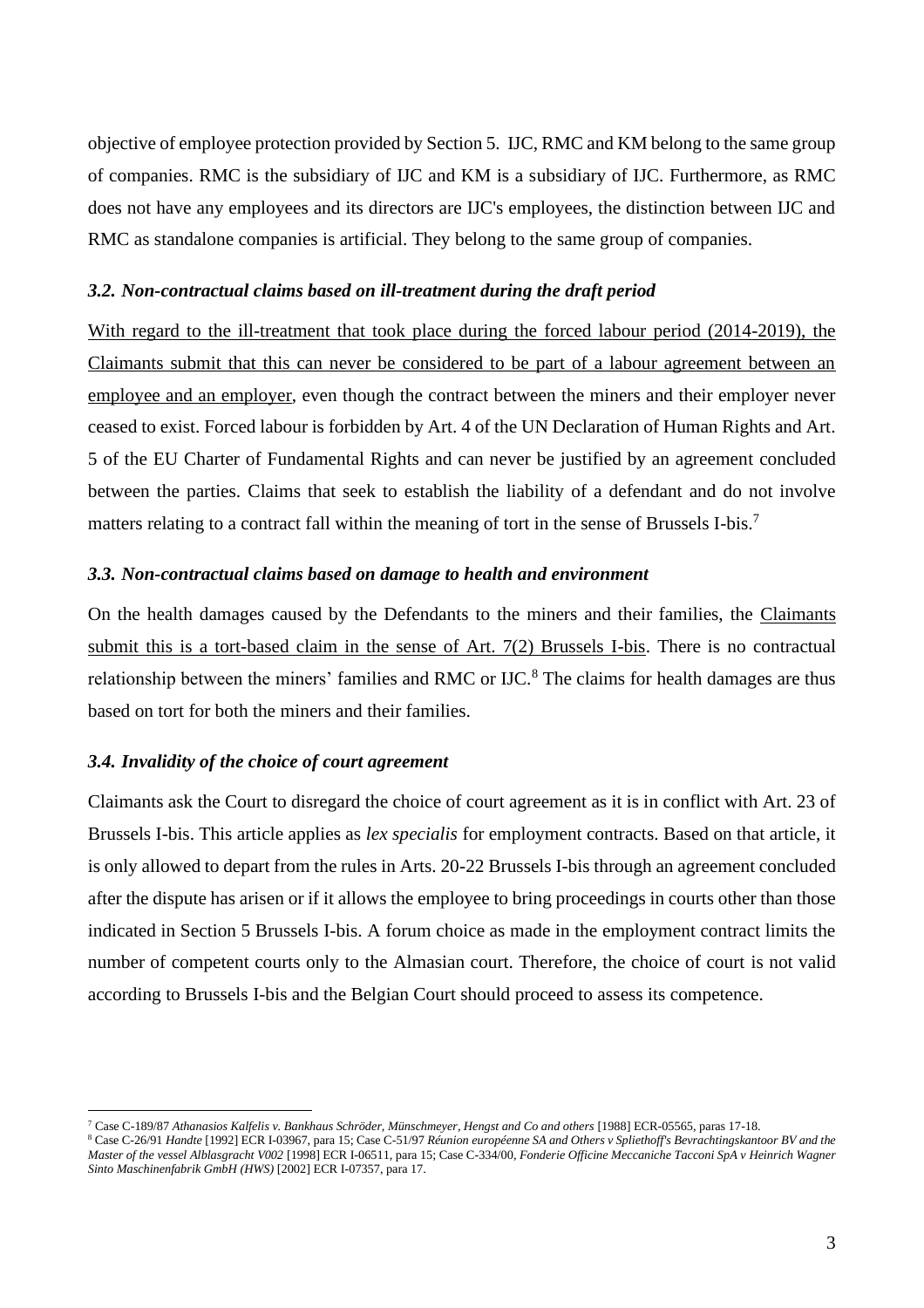objective of employee protection provided by Section 5. IJC, RMC and KM belong to the same group of companies. RMC is the subsidiary of IJC and KM is a subsidiary of IJC. Furthermore, as RMC does not have any employees and its directors are IJC's employees, the distinction between IJC and RMC as standalone companies is artificial. They belong to the same group of companies.

#### *3.2. Non-contractual claims based on ill-treatment during the draft period*

With regard to the ill-treatment that took place during the forced labour period (2014-2019), the Claimants submit that this can never be considered to be part of a labour agreement between an employee and an employer, even though the contract between the miners and their employer never ceased to exist. Forced labour is forbidden by Art. 4 of the UN Declaration of Human Rights and Art. 5 of the EU Charter of Fundamental Rights and can never be justified by an agreement concluded between the parties. Claims that seek to establish the liability of a defendant and do not involve matters relating to a contract fall within the meaning of tort in the sense of Brussels I-bis.<sup>7</sup>

#### *3.3. Non-contractual claims based on damage to health and environment*

On the health damages caused by the Defendants to the miners and their families, the Claimants submit this is a tort-based claim in the sense of Art. 7(2) Brussels I-bis. There is no contractual relationship between the miners' families and RMC or IJC.<sup>8</sup> The claims for health damages are thus based on tort for both the miners and their families.

#### *3.4. Invalidity of the choice of court agreement*

Claimants ask the Court to disregard the choice of court agreement as it is in conflict with Art. 23 of Brussels I-bis. This article applies as *lex specialis* for employment contracts. Based on that article, it is only allowed to depart from the rules in Arts. 20-22 Brussels I-bis through an agreement concluded after the dispute has arisen or if it allows the employee to bring proceedings in courts other than those indicated in Section 5 Brussels I-bis. A forum choice as made in the employment contract limits the number of competent courts only to the Almasian court. Therefore, the choice of court is not valid according to Brussels I-bis and the Belgian Court should proceed to assess its competence.

<sup>7</sup> Case C-189/87 *Athanasios Kalfelis v. Bankhaus Schröder, Münschmeyer, Hengst and Co and others* [1988] ECR-05565, paras 17-18.

<sup>8</sup> Case C-26/91 *Handte* [1992] ECR I-03967, para 15; Case C-51/97 *Réunion européenne SA and Others v Spliethoff's Bevrachtingskantoor BV and the Master of the vessel Alblasgracht V002* [1998] ECR I-06511, para 15; Case C-334/00, *Fonderie Officine Meccaniche Tacconi SpA v Heinrich Wagner Sinto Maschinenfabrik GmbH (HWS)* [2002] ECR I-07357, para 17.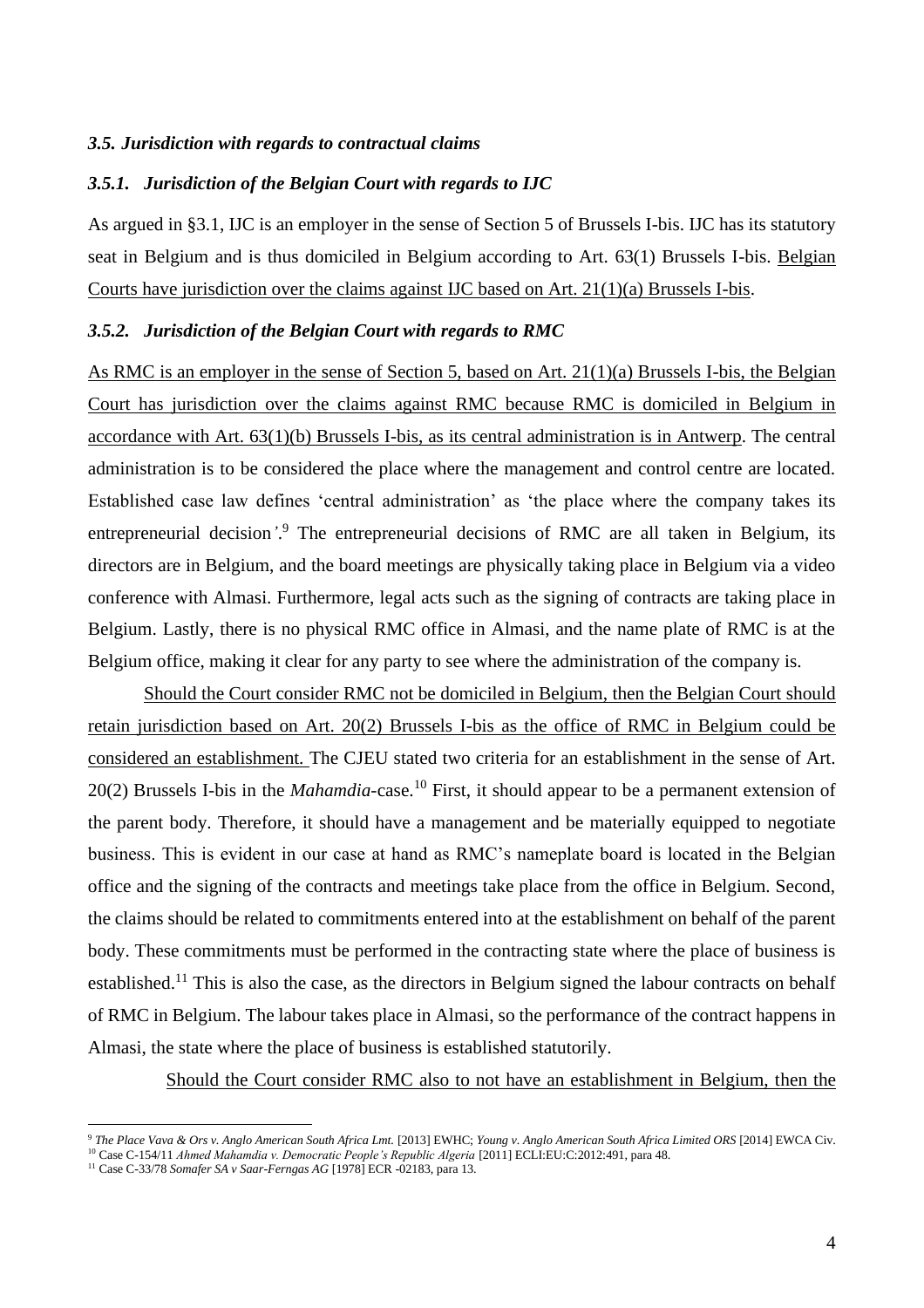#### *3.5. Jurisdiction with regards to contractual claims*

# *3.5.1. Jurisdiction of the Belgian Court with regards to IJC*

As argued in §3.1, IJC is an employer in the sense of Section 5 of Brussels I-bis. IJC has its statutory seat in Belgium and is thus domiciled in Belgium according to Art. 63(1) Brussels I-bis. Belgian Courts have jurisdiction over the claims against IJC based on Art. 21(1)(a) Brussels I-bis.

#### *3.5.2. Jurisdiction of the Belgian Court with regards to RMC*

As RMC is an employer in the sense of Section 5, based on Art. 21(1)(a) Brussels I-bis, the Belgian Court has jurisdiction over the claims against RMC because RMC is domiciled in Belgium in accordance with Art. 63(1)(b) Brussels I-bis, as its central administration is in Antwerp. The central administration is to be considered the place where the management and control centre are located. Established case law defines 'central administration' as 'the place where the company takes its entrepreneurial decision*'*. <sup>9</sup> The entrepreneurial decisions of RMC are all taken in Belgium, its directors are in Belgium, and the board meetings are physically taking place in Belgium via a video conference with Almasi. Furthermore, legal acts such as the signing of contracts are taking place in Belgium. Lastly, there is no physical RMC office in Almasi, and the name plate of RMC is at the Belgium office, making it clear for any party to see where the administration of the company is.

Should the Court consider RMC not be domiciled in Belgium, then the Belgian Court should retain jurisdiction based on Art. 20(2) Brussels I-bis as the office of RMC in Belgium could be considered an establishment*.* The CJEU stated two criteria for an establishment in the sense of Art. 20(2) Brussels I-bis in the *Mahamdia-*case.<sup>10</sup> First, it should appear to be a permanent extension of the parent body. Therefore, it should have a management and be materially equipped to negotiate business. This is evident in our case at hand as RMC's nameplate board is located in the Belgian office and the signing of the contracts and meetings take place from the office in Belgium. Second, the claims should be related to commitments entered into at the establishment on behalf of the parent body. These commitments must be performed in the contracting state where the place of business is established.<sup>11</sup> This is also the case, as the directors in Belgium signed the labour contracts on behalf of RMC in Belgium. The labour takes place in Almasi, so the performance of the contract happens in Almasi, the state where the place of business is established statutorily.

Should the Court consider RMC also to not have an establishment in Belgium, then the

<sup>9</sup> *The Place Vava & Ors v. Anglo American South Africa Lmt.* [2013] EWHC; *Young v. Anglo American South Africa Limited ORS* [2014] EWCA Civ.

<sup>10</sup> Case C-154/11 *Ahmed Mahamdia v. Democratic People's Republic Algeria* [2011] ECLI:EU:C:2012:491, para 48.

<sup>11</sup> Case C-33/78 *Somafer SA v Saar-Ferngas AG* [1978] ECR -02183, para 13.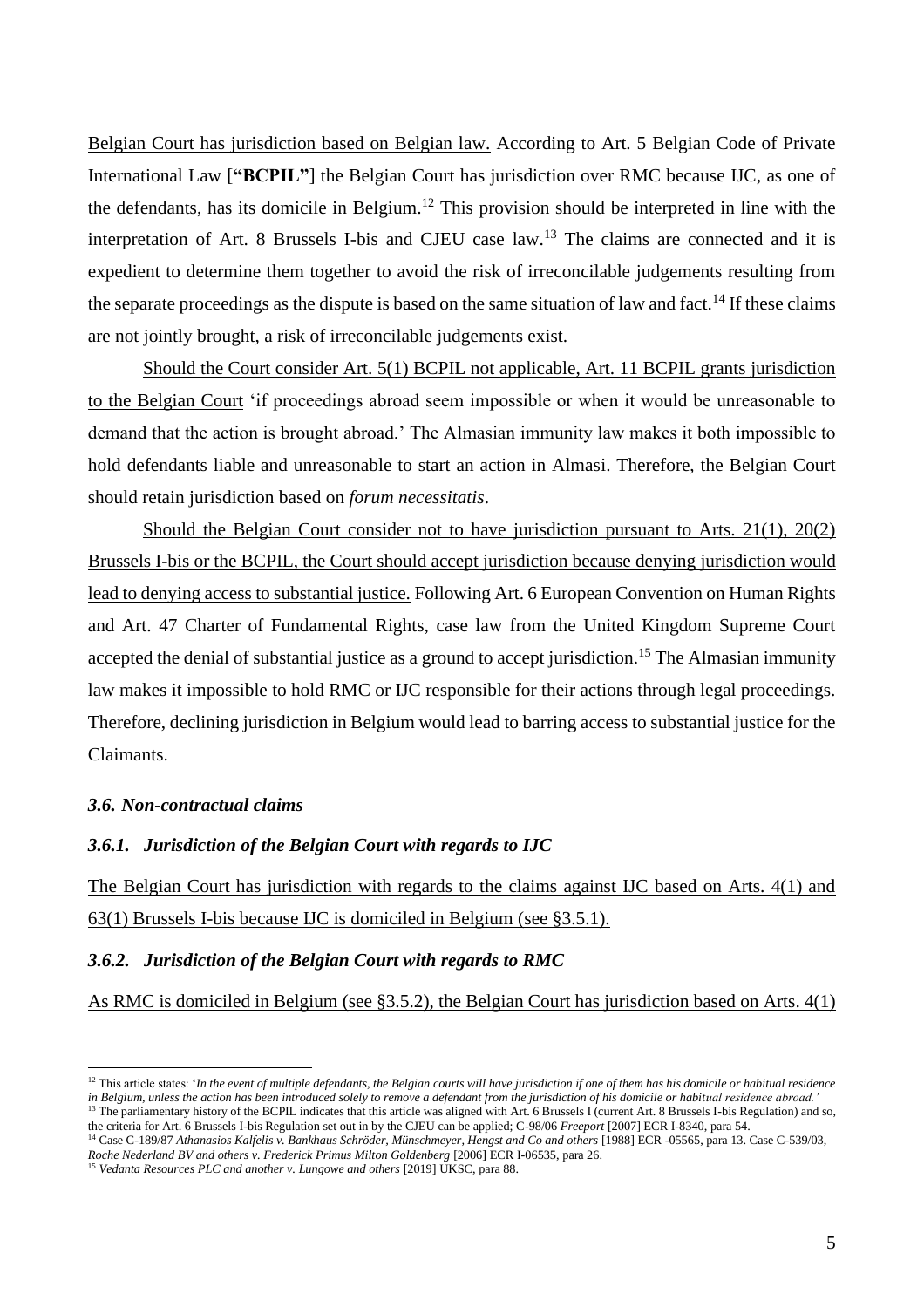Belgian Court has jurisdiction based on Belgian law. According to Art. 5 Belgian Code of Private International Law [**"BCPIL"**] the Belgian Court has jurisdiction over RMC because IJC, as one of the defendants, has its domicile in Belgium.<sup>12</sup> This provision should be interpreted in line with the interpretation of Art. 8 Brussels I-bis and CJEU case  $law<sup>13</sup>$ . The claims are connected and it is expedient to determine them together to avoid the risk of irreconcilable judgements resulting from the separate proceedings as the dispute is based on the same situation of law and fact.<sup>14</sup> If these claims are not jointly brought, a risk of irreconcilable judgements exist.

Should the Court consider Art. 5(1) BCPIL not applicable, Art. 11 BCPIL grants jurisdiction to the Belgian Court 'if proceedings abroad seem impossible or when it would be unreasonable to demand that the action is brought abroad.' The Almasian immunity law makes it both impossible to hold defendants liable and unreasonable to start an action in Almasi. Therefore, the Belgian Court should retain jurisdiction based on *forum necessitatis*.

Should the Belgian Court consider not to have jurisdiction pursuant to Arts. 21(1), 20(2) Brussels I-bis or the BCPIL, the Court should accept jurisdiction because denying jurisdiction would lead to denying access to substantial justice. Following Art. 6 European Convention on Human Rights and Art. 47 Charter of Fundamental Rights, case law from the United Kingdom Supreme Court accepted the denial of substantial justice as a ground to accept jurisdiction.<sup>15</sup> The Almasian immunity law makes it impossible to hold RMC or IJC responsible for their actions through legal proceedings. Therefore, declining jurisdiction in Belgium would lead to barring access to substantial justice for the Claimants.

#### *3.6. Non-contractual claims*

# *3.6.1. Jurisdiction of the Belgian Court with regards to IJC*

The Belgian Court has jurisdiction with regards to the claims against IJC based on Arts. 4(1) and 63(1) Brussels I-bis because IJC is domiciled in Belgium (see §3.5.1).

# *3.6.2. Jurisdiction of the Belgian Court with regards to RMC*

As RMC is domiciled in Belgium (see §3.5.2), the Belgian Court has jurisdiction based on Arts. 4(1)

the criteria for Art. 6 Brussels I-bis Regulation set out in by the CJEU can be applied; C-98/06 *Freeport* [2007] ECR I-8340, para 54. <sup>14</sup> Case C-189/87 *Athanasios Kalfelis v. Bankhaus Schröder, Münschmeyer, Hengst and Co and others* [1988] ECR -05565, para 13. Case C-539/03,

<sup>&</sup>lt;sup>12</sup> This article states: '*In the event of multiple defendants, the Belgian courts will have jurisdiction if one of them has his domicile or habitual residence in Belgium, unless the action has been introduced solely to remove a defendant from the jurisdiction of his domicile or habitual residence abroad.'* <sup>13</sup> The parliamentary history of the BCPIL indicates that this article was aligned with Art. 6 Brussels I (current Art. 8 Brussels I-bis Regulation) and so,

*Roche Nederland BV and others v. Frederick Primus Milton Goldenberg* [2006] ECR I-06535, para 26.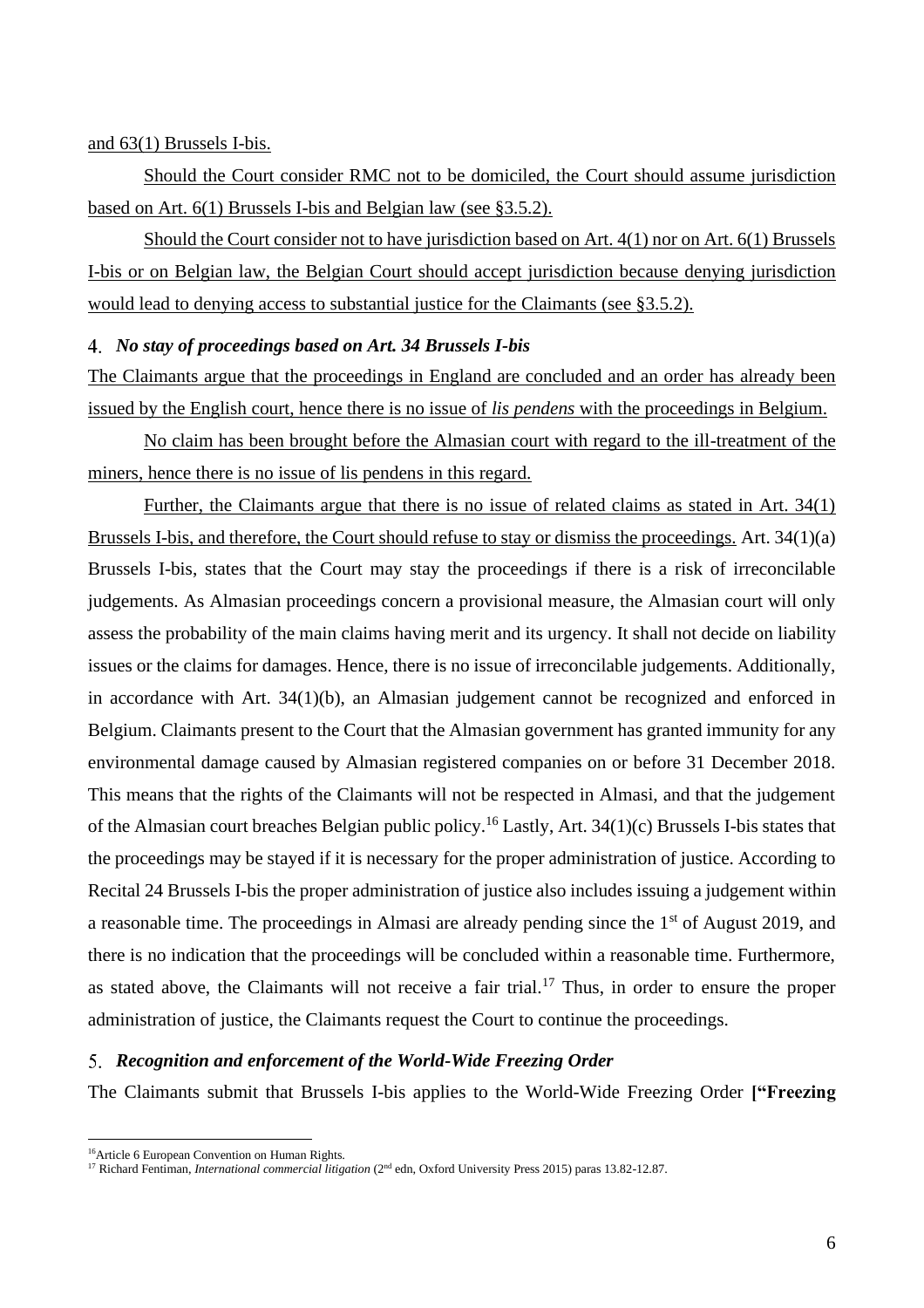#### and 63(1) Brussels I-bis.

Should the Court consider RMC not to be domiciled, the Court should assume jurisdiction based on Art. 6(1) Brussels I-bis and Belgian law (see §3.5.2).

Should the Court consider not to have jurisdiction based on Art. 4(1) nor on Art. 6(1) Brussels I-bis or on Belgian law, the Belgian Court should accept jurisdiction because denying jurisdiction would lead to denying access to substantial justice for the Claimants (see §3.5.2).

#### *No stay of proceedings based on Art. 34 Brussels I-bis*

The Claimants argue that the proceedings in England are concluded and an order has already been issued by the English court, hence there is no issue of *lis pendens* with the proceedings in Belgium.

No claim has been brought before the Almasian court with regard to the ill-treatment of the miners, hence there is no issue of lis pendens in this regard.

Further, the Claimants argue that there is no issue of related claims as stated in Art. 34(1) Brussels I-bis, and therefore, the Court should refuse to stay or dismiss the proceedings. Art. 34(1)(a) Brussels I-bis, states that the Court may stay the proceedings if there is a risk of irreconcilable judgements. As Almasian proceedings concern a provisional measure, the Almasian court will only assess the probability of the main claims having merit and its urgency. It shall not decide on liability issues or the claims for damages. Hence, there is no issue of irreconcilable judgements. Additionally, in accordance with Art. 34(1)(b), an Almasian judgement cannot be recognized and enforced in Belgium. Claimants present to the Court that the Almasian government has granted immunity for any environmental damage caused by Almasian registered companies on or before 31 December 2018. This means that the rights of the Claimants will not be respected in Almasi, and that the judgement of the Almasian court breaches Belgian public policy.<sup>16</sup> Lastly, Art. 34(1)(c) Brussels I-bis states that the proceedings may be stayed if it is necessary for the proper administration of justice. According to Recital 24 Brussels I-bis the proper administration of justice also includes issuing a judgement within a reasonable time. The proceedings in Almasi are already pending since the 1<sup>st</sup> of August 2019, and there is no indication that the proceedings will be concluded within a reasonable time. Furthermore, as stated above, the Claimants will not receive a fair trial.<sup>17</sup> Thus, in order to ensure the proper administration of justice, the Claimants request the Court to continue the proceedings.

#### *Recognition and enforcement of the World-Wide Freezing Order*

The Claimants submit that Brussels I-bis applies to the World-Wide Freezing Order **["Freezing** 

<sup>16</sup>Article 6 European Convention on Human Rights.

<sup>&</sup>lt;sup>17</sup> Richard Fentiman, *International commercial litigation* (2<sup>nd</sup> edn, Oxford University Press 2015) paras 13.82-12.87.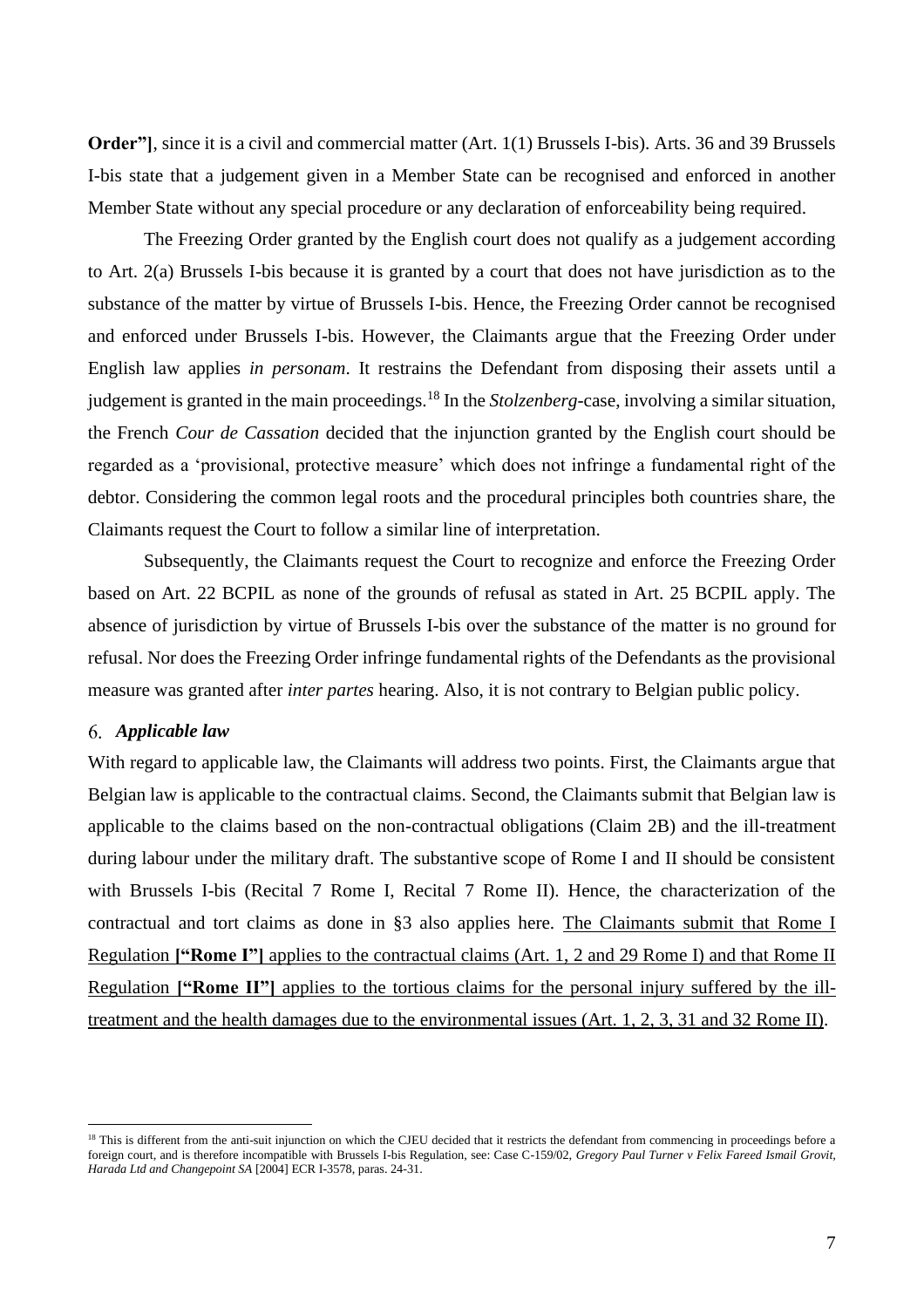**Order"**, since it is a civil and commercial matter (Art. 1(1) Brussels I-bis). Arts. 36 and 39 Brussels I-bis state that a judgement given in a Member State can be recognised and enforced in another Member State without any special procedure or any declaration of enforceability being required.

The Freezing Order granted by the English court does not qualify as a judgement according to Art. 2(a) Brussels I-bis because it is granted by a court that does not have jurisdiction as to the substance of the matter by virtue of Brussels I-bis. Hence, the Freezing Order cannot be recognised and enforced under Brussels I-bis. However, the Claimants argue that the Freezing Order under English law applies *in personam*. It restrains the Defendant from disposing their assets until a judgement is granted in the main proceedings.<sup>18</sup> In the *Stolzenberg*-case, involving a similar situation, the French *Cour de Cassation* decided that the injunction granted by the English court should be regarded as a 'provisional, protective measure' which does not infringe a fundamental right of the debtor. Considering the common legal roots and the procedural principles both countries share, the Claimants request the Court to follow a similar line of interpretation.

Subsequently, the Claimants request the Court to recognize and enforce the Freezing Order based on Art. 22 BCPIL as none of the grounds of refusal as stated in Art. 25 BCPIL apply. The absence of jurisdiction by virtue of Brussels I-bis over the substance of the matter is no ground for refusal. Nor does the Freezing Order infringe fundamental rights of the Defendants as the provisional measure was granted after *inter partes* hearing. Also, it is not contrary to Belgian public policy.

#### *Applicable law*

With regard to applicable law, the Claimants will address two points. First, the Claimants argue that Belgian law is applicable to the contractual claims. Second, the Claimants submit that Belgian law is applicable to the claims based on the non-contractual obligations (Claim 2B) and the ill-treatment during labour under the military draft. The substantive scope of Rome I and II should be consistent with Brussels I-bis (Recital 7 Rome I, Recital 7 Rome II). Hence, the characterization of the contractual and tort claims as done in §3 also applies here. The Claimants submit that Rome I Regulation **["Rome I"]** applies to the contractual claims (Art. 1, 2 and 29 Rome I) and that Rome II Regulation **["Rome II"]** applies to the tortious claims for the personal injury suffered by the illtreatment and the health damages due to the environmental issues (Art. 1, 2, 3, 31 and 32 Rome II).

<sup>&</sup>lt;sup>18</sup> This is different from the anti-suit injunction on which the CJEU decided that it restricts the defendant from commencing in proceedings before a foreign court, and is therefore incompatible with Brussels I-bis Regulation, see: Case C-159/02, *Gregory Paul Turner v Felix Fareed Ismail Grovit, Harada Ltd and Changepoint SA* [2004] ECR I-3578, paras. 24-31.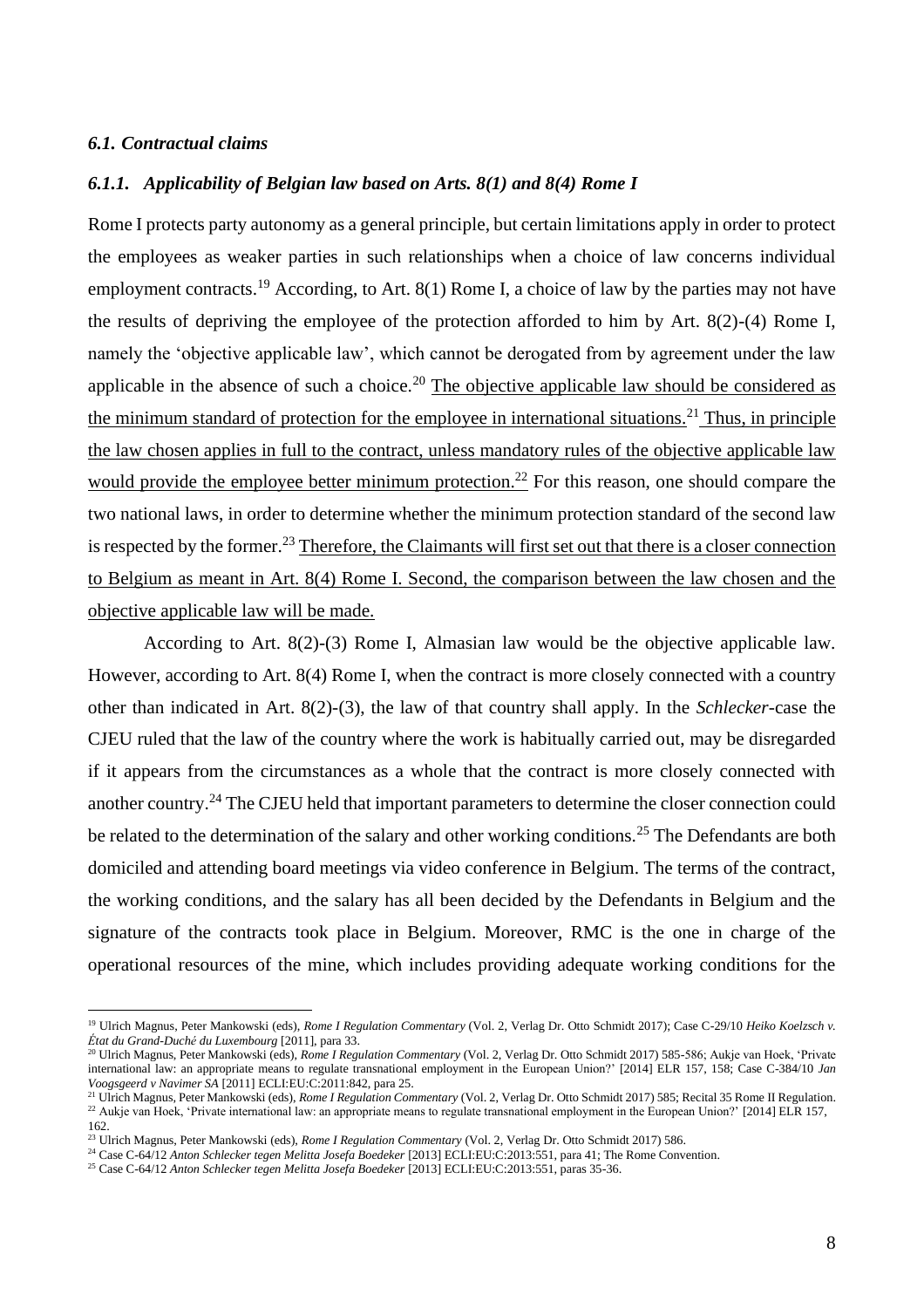#### *6.1. Contractual claims*

#### *6.1.1. Applicability of Belgian law based on Arts. 8(1) and 8(4) Rome I*

Rome I protects party autonomy as a general principle, but certain limitations apply in order to protect the employees as weaker parties in such relationships when a choice of law concerns individual employment contracts.<sup>19</sup> According, to Art.  $8(1)$  Rome I, a choice of law by the parties may not have the results of depriving the employee of the protection afforded to him by Art. 8(2)-(4) Rome I, namely the 'objective applicable law', which cannot be derogated from by agreement under the law applicable in the absence of such a choice.<sup>20</sup> The objective applicable law should be considered as the minimum standard of protection for the employee in international situations.<sup>21</sup> Thus, in principle the law chosen applies in full to the contract, unless mandatory rules of the objective applicable law would provide the employee better minimum protection.<sup>22</sup> For this reason, one should compare the two national laws, in order to determine whether the minimum protection standard of the second law is respected by the former.<sup>23</sup> Therefore, the Claimants will first set out that there is a closer connection to Belgium as meant in Art. 8(4) Rome I. Second, the comparison between the law chosen and the objective applicable law will be made.

According to Art. 8(2)-(3) Rome I, Almasian law would be the objective applicable law. However, according to Art. 8(4) Rome I, when the contract is more closely connected with a country other than indicated in Art. 8(2)-(3), the law of that country shall apply. In the *Schlecker*-case the CJEU ruled that the law of the country where the work is habitually carried out, may be disregarded if it appears from the circumstances as a whole that the contract is more closely connected with another country.<sup>24</sup> The CJEU held that important parameters to determine the closer connection could be related to the determination of the salary and other working conditions.<sup>25</sup> The Defendants are both domiciled and attending board meetings via video conference in Belgium. The terms of the contract, the working conditions, and the salary has all been decided by the Defendants in Belgium and the signature of the contracts took place in Belgium. Moreover, RMC is the one in charge of the operational resources of the mine, which includes providing adequate working conditions for the

<sup>&</sup>lt;sup>19</sup> Ulrich Magnus, Peter Mankowski (eds), *Rome I Regulation Commentary* (Vol. 2, Verlag Dr. Otto Schmidt 2017); Case C-29/10 Heiko Koelzsch v. *État du Grand-Duché du Luxembourg* [2011], para 33.

<sup>20</sup> Ulrich Magnus, Peter Mankowski (eds), *Rome I Regulation Commentary* (Vol. 2, Verlag Dr. Otto Schmidt 2017) 585-586; Aukje van Hoek, 'Private international law: an appropriate means to regulate transnational employment in the European Union?' [2014] ELR 157, 158; Case C-384/10 *Jan Voogsgeerd v Navimer SA* [2011] ECLI:EU:C:2011:842, para 25.

<sup>21</sup> Ulrich Magnus, Peter Mankowski (eds), *Rome I Regulation Commentary* (Vol. 2, Verlag Dr. Otto Schmidt 2017) 585; Recital 35 Rome II Regulation. <sup>22</sup> Aukje van Hoek, 'Private international law: an appropriate means to regulate transnational employment in the European Union?' [2014] ELR 157, 162.

<sup>23</sup> Ulrich Magnus, Peter Mankowski (eds), *Rome I Regulation Commentary* (Vol. 2, Verlag Dr. Otto Schmidt 2017) 586.

<sup>24</sup> Case C-64/12 *Anton Schlecker tegen Melitta Josefa Boedeker* [2013] ECLI:EU:C:2013:551, para 41; The Rome Convention.

<sup>25</sup> Case C-64/12 *Anton Schlecker tegen Melitta Josefa Boedeker* [2013] ECLI:EU:C:2013:551, paras 35-36.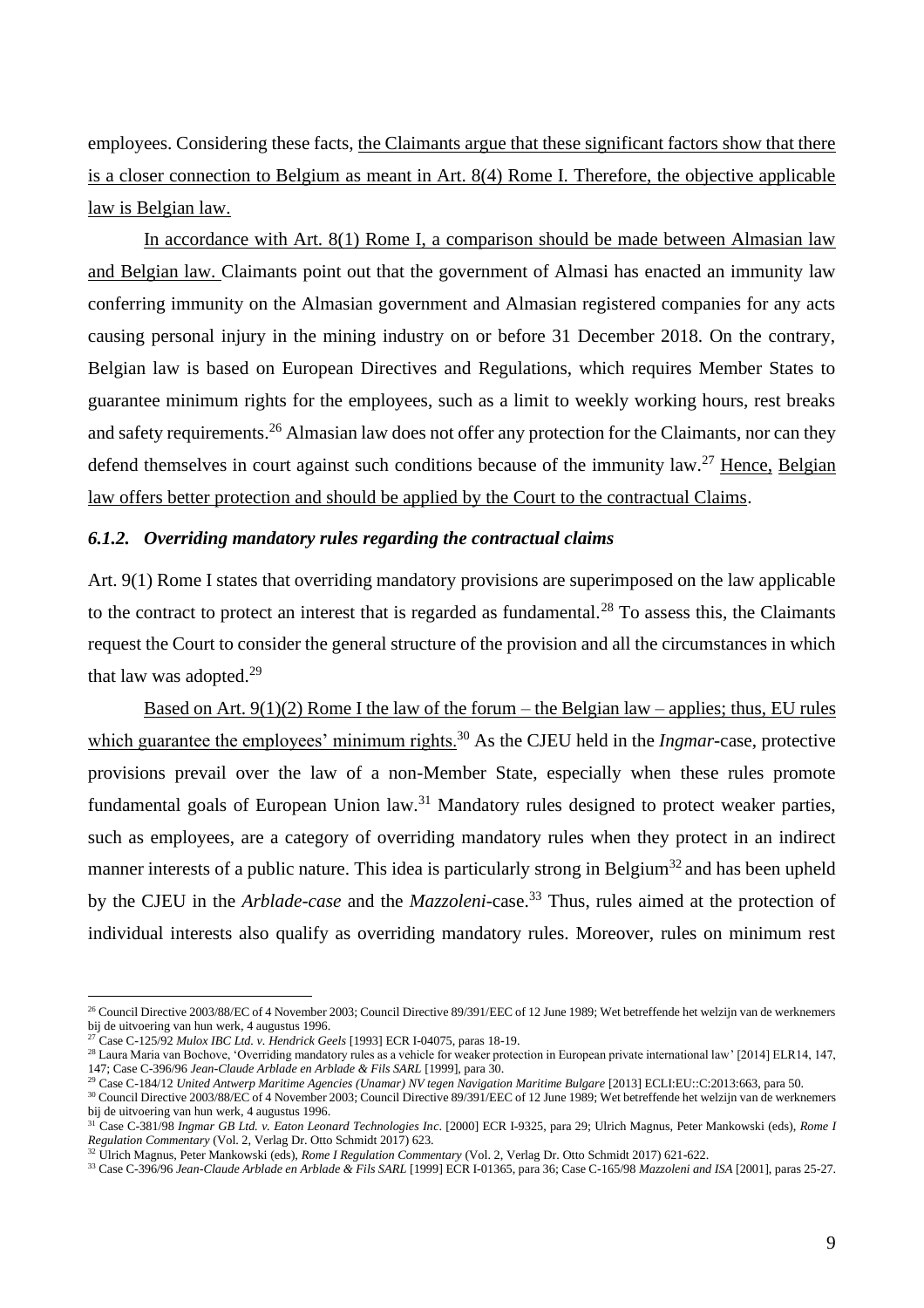employees. Considering these facts, the Claimants argue that these significant factors show that there is a closer connection to Belgium as meant in Art. 8(4) Rome I. Therefore, the objective applicable law is Belgian law.

In accordance with Art. 8(1) Rome I, a comparison should be made between Almasian law and Belgian law. Claimants point out that the government of Almasi has enacted an immunity law conferring immunity on the Almasian government and Almasian registered companies for any acts causing personal injury in the mining industry on or before 31 December 2018. On the contrary, Belgian law is based on European Directives and Regulations, which requires Member States to guarantee minimum rights for the employees, such as a limit to weekly working hours, rest breaks and safety requirements.<sup>26</sup> Almasian law does not offer any protection for the Claimants, nor can they defend themselves in court against such conditions because of the immunity law.<sup>27</sup> Hence, Belgian law offers better protection and should be applied by the Court to the contractual Claims.

#### *6.1.2. Overriding mandatory rules regarding the contractual claims*

Art. 9(1) Rome I states that overriding mandatory provisions are superimposed on the law applicable to the contract to protect an interest that is regarded as fundamental.<sup>28</sup> To assess this, the Claimants request the Court to consider the general structure of the provision and all the circumstances in which that law was adopted.<sup>29</sup>

Based on Art.  $9(1)(2)$  Rome I the law of the forum – the Belgian law – applies; thus, EU rules which guarantee the employees' minimum rights.<sup>30</sup> As the CJEU held in the *Ingmar*-case, protective provisions prevail over the law of a non-Member State, especially when these rules promote fundamental goals of European Union law.<sup>31</sup> Mandatory rules designed to protect weaker parties, such as employees, are a category of overriding mandatory rules when they protect in an indirect manner interests of a public nature. This idea is particularly strong in Belgium<sup>32</sup> and has been upheld by the CJEU in the *Arblade-case* and the *Mazzoleni*-case.<sup>33</sup> Thus, rules aimed at the protection of individual interests also qualify as overriding mandatory rules. Moreover, rules on minimum rest

<sup>&</sup>lt;sup>26</sup> Council Directive 2003/88/EC of 4 November 2003; Council Directive 89/391/EEC of 12 June 1989; Wet betreffende het welzijn van de werknemers bij de uitvoering van hun werk, 4 augustus 1996.

<sup>27</sup> Case C-125/92 *Mulox IBC Ltd. v. Hendrick Geels* [1993] ECR I-04075, paras 18-19.

<sup>&</sup>lt;sup>28</sup> Laura Maria van Bochove, 'Overriding mandatory rules as a vehicle for weaker protection in European private international law' [2014] ELR14, 147, 147; Case C-396/96 *Jean-Claude Arblade en Arblade & Fils SARL* [1999], para 30.

<sup>29</sup> Case C-184/12 *United Antwerp Maritime Agencies (Unamar) NV tegen Navigation Maritime Bulgare* [2013] ECLI:EU::C:2013:663, para 50.

<sup>30</sup> Council Directive 2003/88/EC of 4 November 2003; Council Directive 89/391/EEC of 12 June 1989; Wet betreffende het welzijn van de werknemers bij de uitvoering van hun werk, 4 augustus 1996.

<sup>31</sup> Case C-381/98 *Ingmar GB Ltd. v. Eaton Leonard Technologies Inc*. [2000] ECR I-9325, para 29; Ulrich Magnus, Peter Mankowski (eds), *Rome I Regulation Commentary* (Vol. 2, Verlag Dr. Otto Schmidt 2017) 623.

<sup>32</sup> Ulrich Magnus, Peter Mankowski (eds), *Rome I Regulation Commentary* (Vol. 2, Verlag Dr. Otto Schmidt 2017) 621-622.

<sup>33</sup> Case C-396/96 *Jean-Claude Arblade en Arblade & Fils SARL* [1999] ECR I-01365, para 36; Case C-165/98 *Mazzoleni and ISA* [2001], paras 25-27.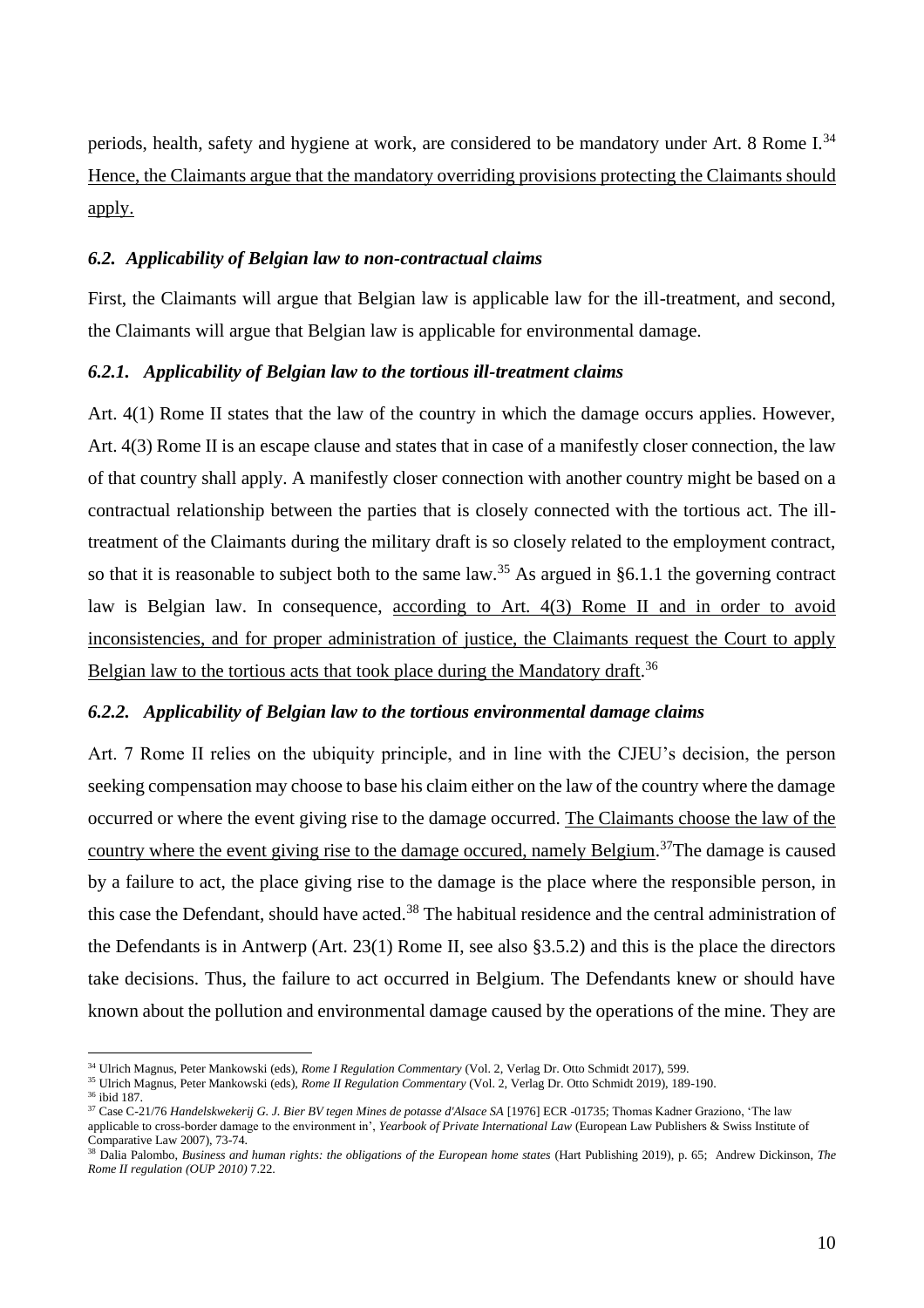periods, health, safety and hygiene at work, are considered to be mandatory under Art. 8 Rome I.<sup>34</sup> Hence, the Claimants argue that the mandatory overriding provisions protecting the Claimants should apply.

## *6.2. Applicability of Belgian law to non-contractual claims*

First, the Claimants will argue that Belgian law is applicable law for the ill-treatment, and second, the Claimants will argue that Belgian law is applicable for environmental damage.

# *6.2.1. Applicability of Belgian law to the tortious ill-treatment claims*

Art. 4(1) Rome II states that the law of the country in which the damage occurs applies. However, Art. 4(3) Rome II is an escape clause and states that in case of a manifestly closer connection, the law of that country shall apply. A manifestly closer connection with another country might be based on a contractual relationship between the parties that is closely connected with the tortious act. The illtreatment of the Claimants during the military draft is so closely related to the employment contract, so that it is reasonable to subject both to the same law.<sup>35</sup> As argued in §6.1.1 the governing contract law is Belgian law. In consequence, according to Art. 4(3) Rome II and in order to avoid inconsistencies, and for proper administration of justice, the Claimants request the Court to apply Belgian law to the tortious acts that took place during the Mandatory draft.<sup>36</sup>

#### *6.2.2. Applicability of Belgian law to the tortious environmental damage claims*

Art. 7 Rome II relies on the ubiquity principle, and in line with the CJEU's decision, the person seeking compensation may choose to base his claim either on the law of the country where the damage occurred or where the event giving rise to the damage occurred. The Claimants choose the law of the country where the event giving rise to the damage occured, namely Belgium.<sup>37</sup>The damage is caused by a failure to act, the place giving rise to the damage is the place where the responsible person, in this case the Defendant, should have acted.<sup>38</sup> The habitual residence and the central administration of the Defendants is in Antwerp (Art. 23(1) Rome II, see also §3.5.2) and this is the place the directors take decisions. Thus, the failure to act occurred in Belgium. The Defendants knew or should have known about the pollution and environmental damage caused by the operations of the mine. They are

<sup>34</sup> Ulrich Magnus, Peter Mankowski (eds), *Rome I Regulation Commentary* (Vol. 2, Verlag Dr. Otto Schmidt 2017), 599.

<sup>35</sup> Ulrich Magnus, Peter Mankowski (eds), *Rome II Regulation Commentary* (Vol. 2, Verlag Dr. Otto Schmidt 2019), 189-190.

<sup>36</sup> ibid 187.

<sup>&</sup>lt;sup>37</sup> Case C-21/76 *Handelskwekerij G. J. Bier BV tegen Mines de potasse d'Alsace SA* [1976] ECR -01735; Thomas Kadner Graziono, 'The law applicable to cross-border damage to the environment in', *Yearbook of Private International Law* (European Law Publishers & Swiss Institute of Comparative Law 2007), 73-74.

<sup>38</sup> Dalia Palombo, *Business and human rights: the obligations of the European home states* (Hart Publishing 2019), p. 65; Andrew Dickinson, *The Rome II regulation (OUP 2010)* 7.22.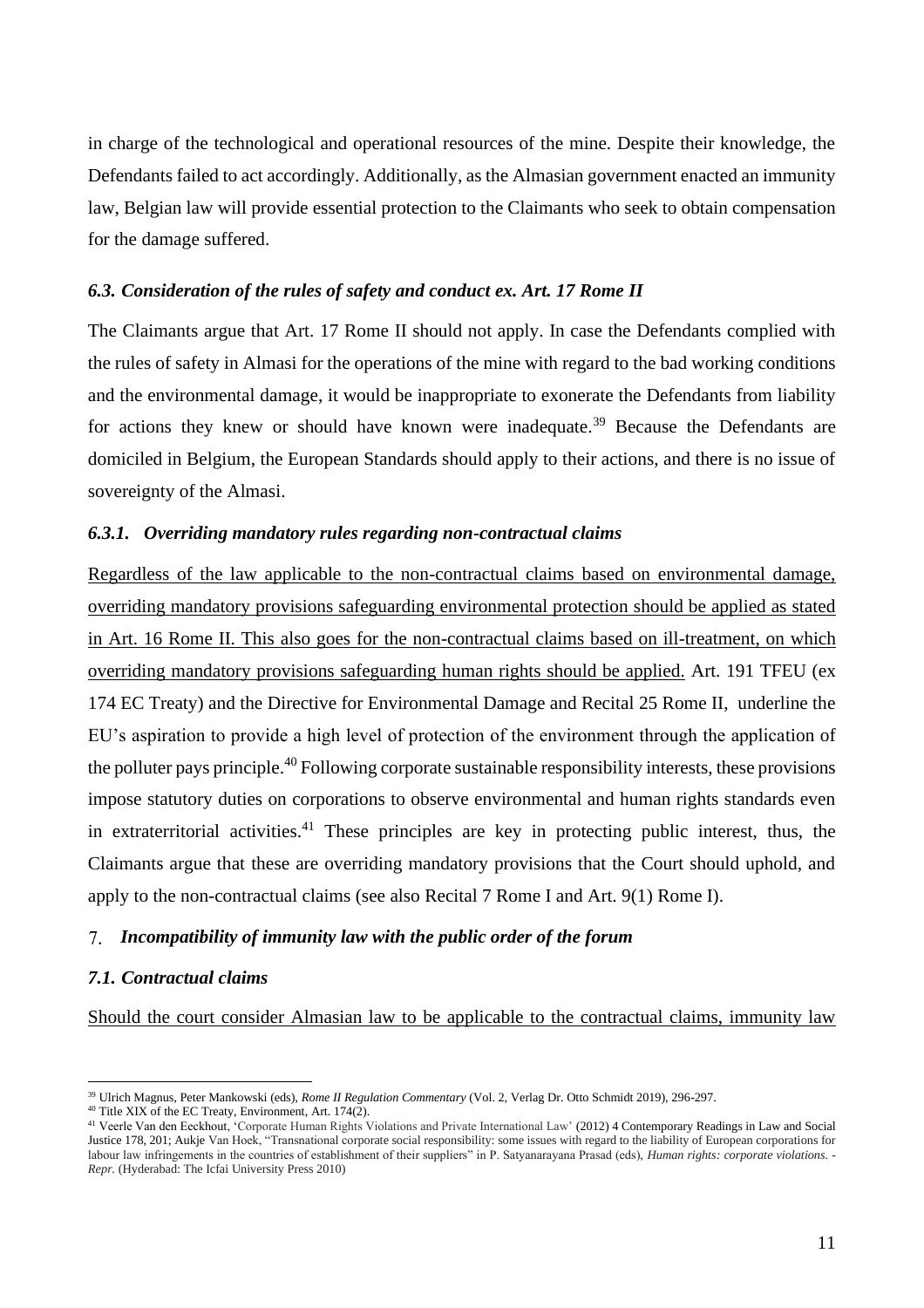in charge of the technological and operational resources of the mine. Despite their knowledge, the Defendants failed to act accordingly. Additionally, as the Almasian government enacted an immunity law, Belgian law will provide essential protection to the Claimants who seek to obtain compensation for the damage suffered.

#### *6.3. Consideration of the rules of safety and conduct ex. Art. 17 Rome II*

The Claimants argue that Art. 17 Rome II should not apply. In case the Defendants complied with the rules of safety in Almasi for the operations of the mine with regard to the bad working conditions and the environmental damage, it would be inappropriate to exonerate the Defendants from liability for actions they knew or should have known were inadequate.<sup>39</sup> Because the Defendants are domiciled in Belgium, the European Standards should apply to their actions, and there is no issue of sovereignty of the Almasi.

#### *6.3.1. Overriding mandatory rules regarding non-contractual claims*

Regardless of the law applicable to the non-contractual claims based on environmental damage, overriding mandatory provisions safeguarding environmental protection should be applied as stated in Art. 16 Rome II. This also goes for the non-contractual claims based on ill-treatment, on which overriding mandatory provisions safeguarding human rights should be applied. Art. 191 TFEU (ex 174 EC Treaty) and the Directive for Environmental Damage and Recital 25 Rome II, underline the EU's aspiration to provide a high level of protection of the environment through the application of the polluter pays principle.<sup>40</sup> Following corporate sustainable responsibility interests, these provisions impose statutory duties on corporations to observe environmental and human rights standards even in extraterritorial activities.<sup>41</sup> These principles are key in protecting public interest, thus, the Claimants argue that these are overriding mandatory provisions that the Court should uphold, and apply to the non-contractual claims (see also Recital 7 Rome I and Art. 9(1) Rome I).

#### *Incompatibility of immunity law with the public order of the forum*

# *7.1. Contractual claims*

Should the court consider Almasian law to be applicable to the contractual claims, immunity law

<sup>39</sup> Ulrich Magnus, Peter Mankowski (eds), *Rome II Regulation Commentary* (Vol. 2, Verlag Dr. Otto Schmidt 2019), 296-297.

<sup>&</sup>lt;sup>40</sup> Title XIX of the EC Treaty, Environment, Art. 174 $(2)$ .

<sup>&</sup>lt;sup>41</sup> Veerle Van den Eeckhout, 'Corporate Human Rights Violations and Private International Law' (2012) 4 Contemporary Readings in Law and Social Justice 178, 201; Aukje Van Hoek, "Transnational corporate social responsibility: some issues with regard to the liability of European corporations for labour law infringements in the countries of establishment of their suppliers" in P. Satyanarayana Prasad (eds), *Human rights: corporate violations. - Repr.* (Hyderabad: The Icfai University Press 2010)